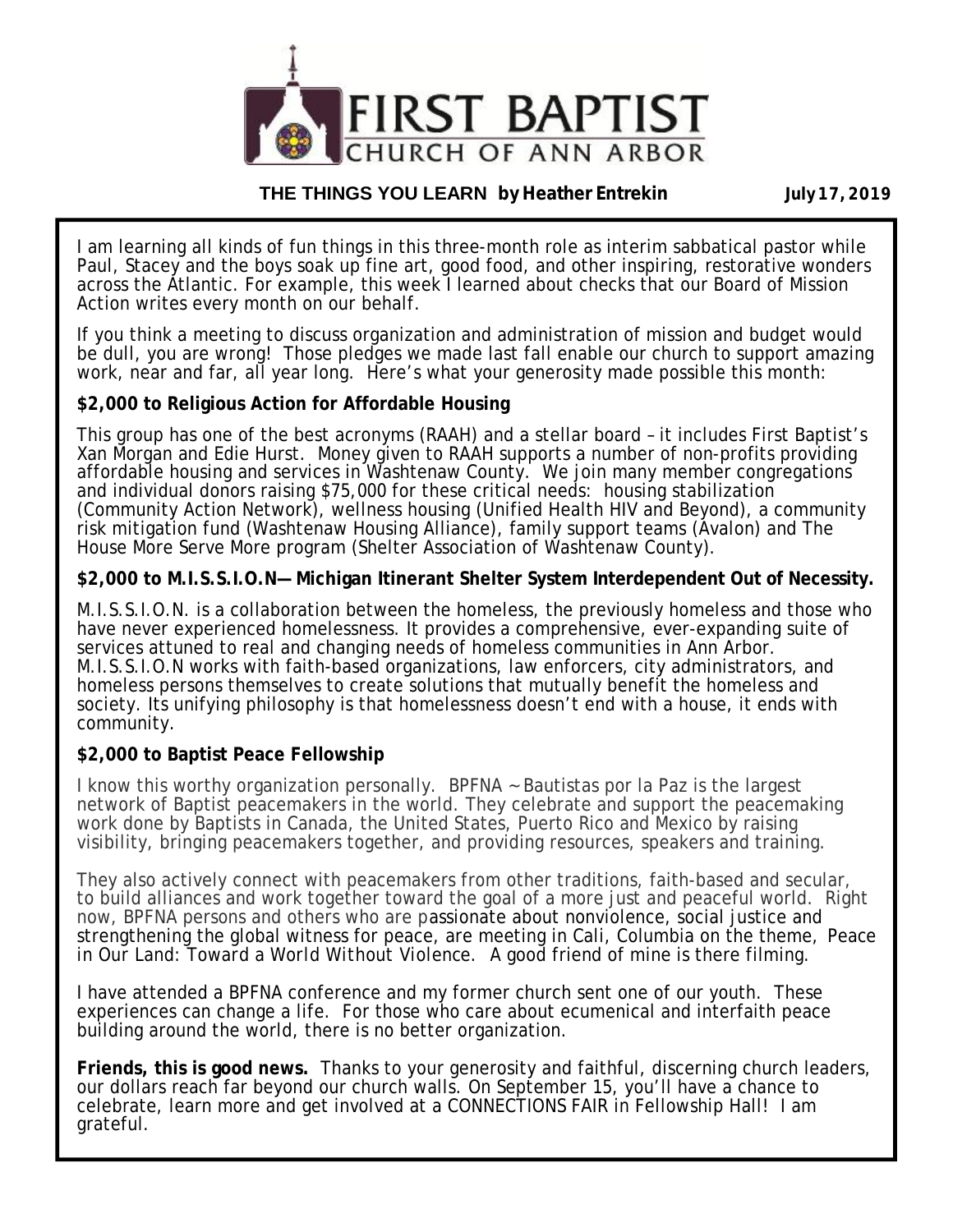

#### **THE THINGS YOU LEARN by Heather Entrekin July 17, 2019**

I am learning all kinds of fun things in this three-month role as interim sabbatical pastor while Paul, Stacey and the boys soak up fine art, good food, and other inspiring, restorative wonders across the Atlantic. For example, this week I learned about checks that our Board of Mission Action writes every month on our behalf.

If you think a meeting to discuss organization and administration of mission and budget would be dull, you are wrong! Those pledges we made last fall enable our church to support amazing work, near and far, all year long. Here's what your generosity made possible this month:

#### **\$2,000 to Religious Action for Affordable Housing**

This group has one of the best acronyms (RAAH) and a stellar board – it includes First Baptist's Xan Morgan and Edie Hurst. Money given to RAAH supports a number of non-profits providing affordable housing and services in Washtenaw County. We join many member congregations and individual donors raising \$75,000 for these critical needs: housing stabilization (Community Action Network), wellness housing (Unified Health HIV and Beyond), a community risk mitigation fund (Washtenaw Housing Alliance), family support teams (Avalon) and The House More Serve More program (Shelter Association of Washtenaw County).

#### **\$2,000 to M.I.S.S.I.O.N— Michigan Itinerant Shelter System Interdependent Out of Necessity.**

M.I.S.S.I.O.N. is a collaboration between the homeless, the previously homeless and those who have never experienced homelessness. It provides a comprehensive, ever-expanding suite of services attuned to real and changing needs of homeless communities in Ann Arbor. M.I.S.S.I.O.N works with faith-based organizations, law enforcers, city administrators, and homeless persons themselves to create solutions that mutually benefit the homeless and society. Its unifying philosophy is that homelessness doesn't end with a house, it ends with community.

#### **\$2,000 to Baptist Peace Fellowship**

I know this worthy organization personally. BPFNA ~ Bautistas por la Paz is the largest network of Baptist peacemakers in the world. They celebrate and support the peacemaking work done by Baptists in Canada, the United States, Puerto Rico and Mexico by raising visibility, bringing peacemakers together, and providing resources, speakers and training.

They also actively connect with peacemakers from other traditions, faith-based and secular, to build alliances and work together toward the goal of a more just and peaceful world. Right now, BPFNA persons and others who are passionate about nonviolence, social justice and strengthening the global witness for peace, are meeting in Cali, Columbia on the theme, *Peace in Our Land: Toward a World Without Violence.* A good friend of mine is there filming.

I have attended a BPFNA conference and my former church sent one of our youth. These experiences can change a life. For those who care about ecumenical and interfaith peace building around the world, there is no better organization.

**Friends, this is good news.** Thanks to your generosity and faithful, discerning church leaders, our dollars reach far beyond our church walls. On September 15, you'll have a chance to celebrate, learn more and get involved at a CONNECTIONS FAIR in Fellowship Hall! I am grateful.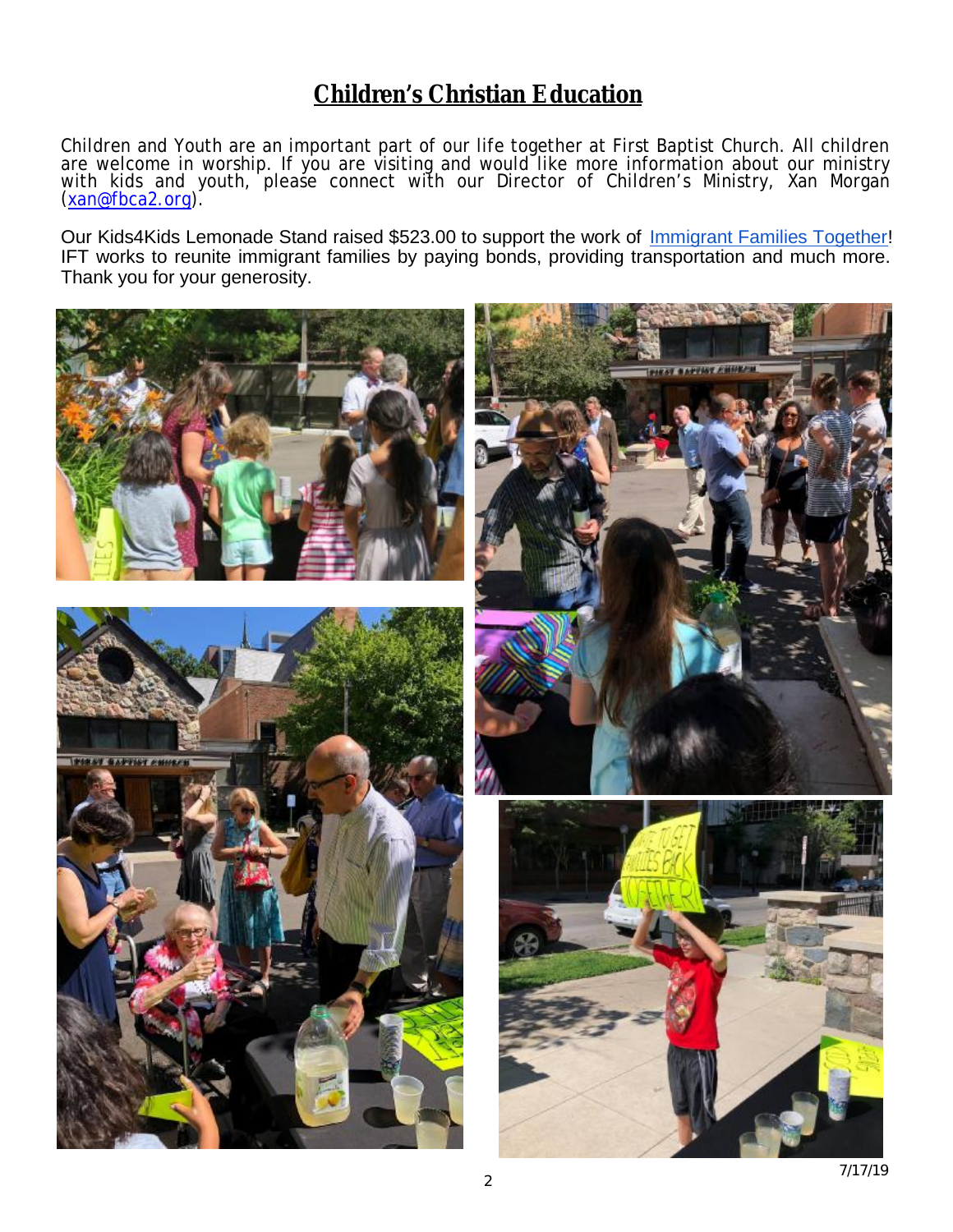### **Children's Christian Education**

Children and Youth are an important part of our life together at First Baptist Church. All children are welcome in worship. If you are visiting and would like more information about our ministry with kids and youth, please connect with our Director of Children's Ministry, Xan Morgan ([xan@fbca2.org\)](mailto:xan@fbca2.org).

Our Kids4Kids Lemonade Stand raised \$523.00 to support the work of Immigrant Families Together! IFT works to reunite immigrant families by paying bonds, providing transportation and much more. Thank you for your generosity.

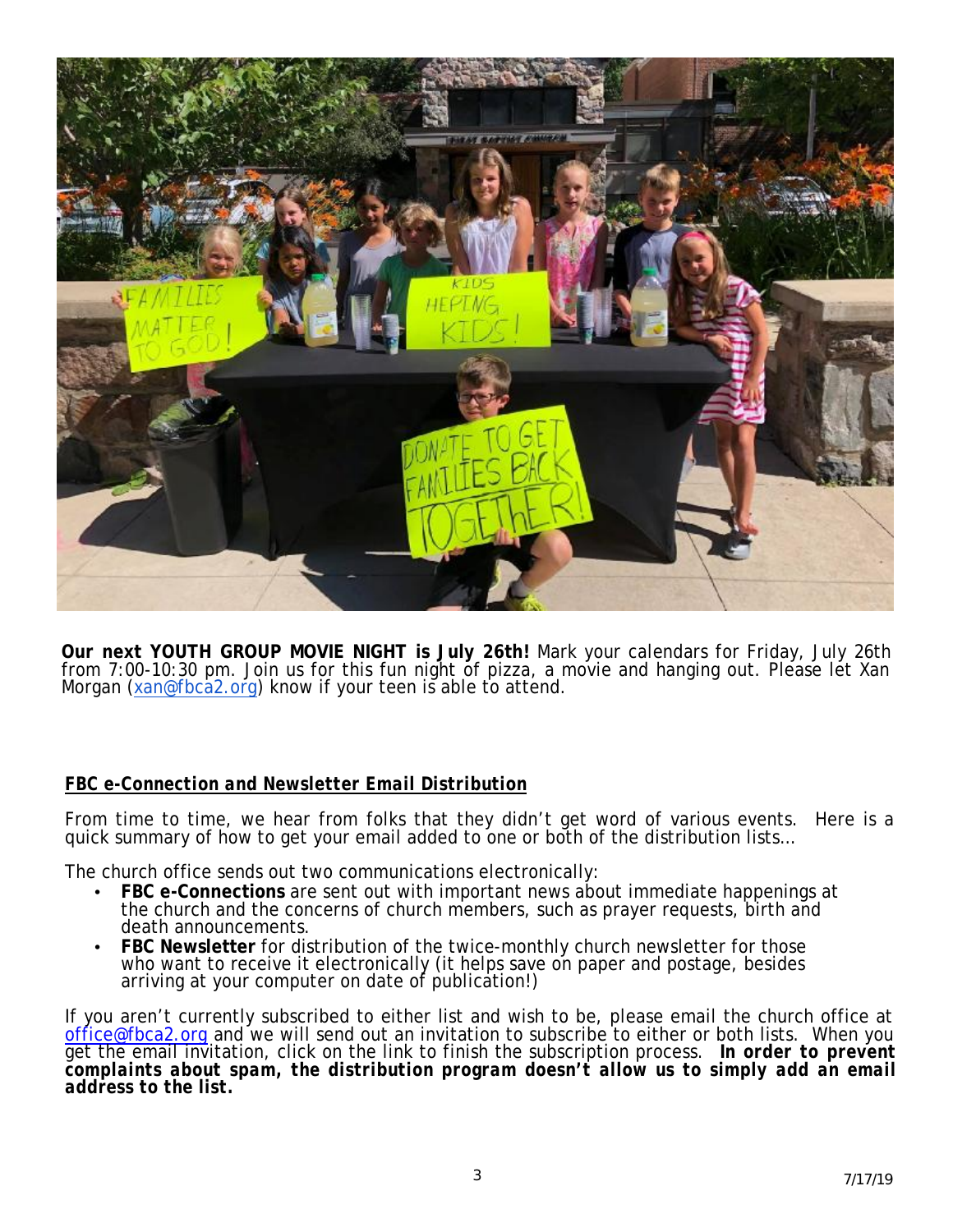

**Our next YOUTH GROUP MOVIE NIGHT is July 26th!** Mark your calendars for Friday, July 26th from 7:00-10:30 pm. Join us for this fun night of pizza, a movie and hanging out. Please let Xan Morgan ([xan@fbca2.org](mailto:xan@fbca2.org)) know if your teen is able to attend.

#### *FBC e-Connection and Newsletter Email Distribution*

From time to time, we hear from folks that they didn't get word of various events. Here is a quick summary of how to get your email added to one or both of the distribution lists…

The church office sends out two communications electronically:

- **FBC e-Connections** are sent out with important news about immediate happenings at the church and the concerns of church members, such as prayer requests, birth and death announcements.
- **FBC Newsletter** for distribution of the twice-monthly church newsletter for those who want to receive it electronically (it helps save on paper and postage, besides arriving at your computer on date of publication!)

If you aren't currently subscribed to either list and wish to be, please email the church office at [office@fbca2.org](mailto:office@fbca2.org) and we will send out an invitation to subscribe to either or both lists. When you get the email invitation, click on the link to finish the subscription process. *In order to prevent complaints about spam, the distribution program doesn't allow us to simply add an email address to the list.*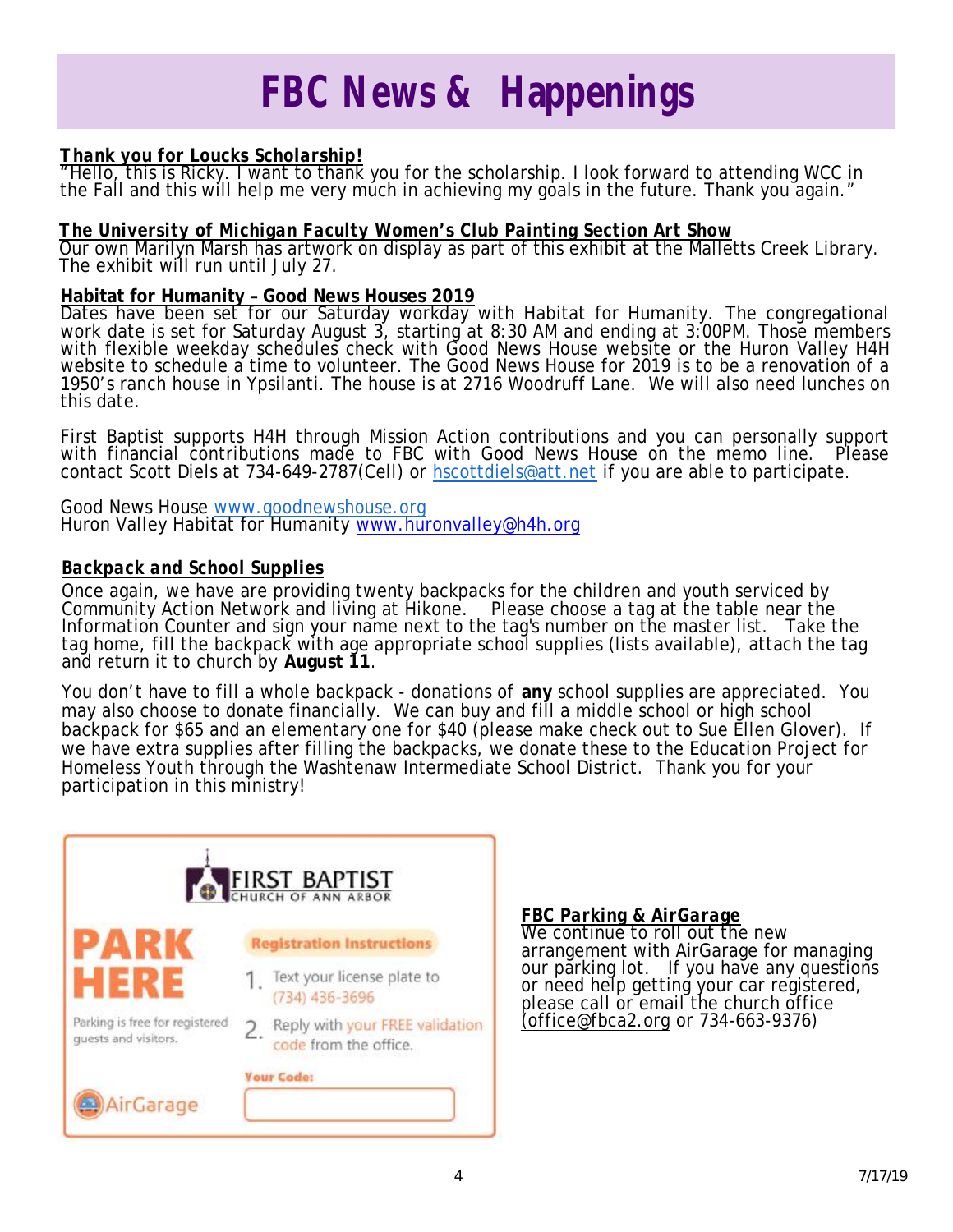## *FBC News & Happenings*

#### *Thank you for Loucks Scholarship!*

"Hello, this is Ricky. I want to thank you for the scholarship. I look forward to attending WCC in the Fall and this will help me very much in achieving my goals in the future. Thank you again."

#### *The University of Michigan Faculty Women's Club Painting Section Art Show*

Our own Marilyn Marsh has artwork on display as part of this exhibit at the Malletts Creek Library. The exhibit will run until July 27.

#### **Habitat for Humanity – Good News Houses 2019**

Dates have been set for our Saturday workday with Habitat for Humanity. The congregational work date is set for Saturday August 3, starting at 8:30 AM and ending at 3:00PM. Those members with flexible weekday schedules check with Good News House website or the Huron Valley H4H website to schedule a time to volunteer. The Good News House for 2019 is to be a renovation of a 1950's ranch house in Ypsilanti. The house is at 2716 Woodruff Lane. We will also need lunches on this date.

First Baptist supports H4H through Mission Action contributions and you can personally support with financial contributions made to FBC with Good News House on the memo line. Please contact Scott Diels at 734-649-2787(Cell) or [hscottdiels@att.net](mailto:hscottdiels@att.net) if you are able to participate.

Good News House [www.goodnewshouse.org](http://www.goodnewshouse.org) Huron Valley Habitat for Humanity [www.huronvalley@h4h.org](http://www.huronvalley@h4h.org)

#### *Backpack and School Supplies*

Once again, we have are providing twenty backpacks for the children and youth serviced by Community Action Network and living at Hikone. Please choose a tag at the table near the Information Counter and sign your name next to the tag's number on the master list. Take the tag home, fill the backpack with age appropriate school supplies (lists available), attach the tag and return it to church by **August 11**.

You don't have to fill a whole backpack - donations of **any** school supplies are appreciated. You may also choose to donate financially. We can buy and fill a middle school or high school backpack for \$65 and an elementary one for \$40 (please make check out to Sue Ellen Glover). If we have extra supplies after filling the backpacks, we donate these to the Education Project for Homeless Youth through the Washtenaw Intermediate School District. Thank you for your participation in this ministry!



#### *FBC Parking & AirGarage*

We continue to roll out the new arrangement with AirGarage for managing our parking lot. If you have any questions or need help getting your car registered, please call or email the church office [\(office@fbca2.org](mailto:(office@fbca2.org) or 734-663-9376)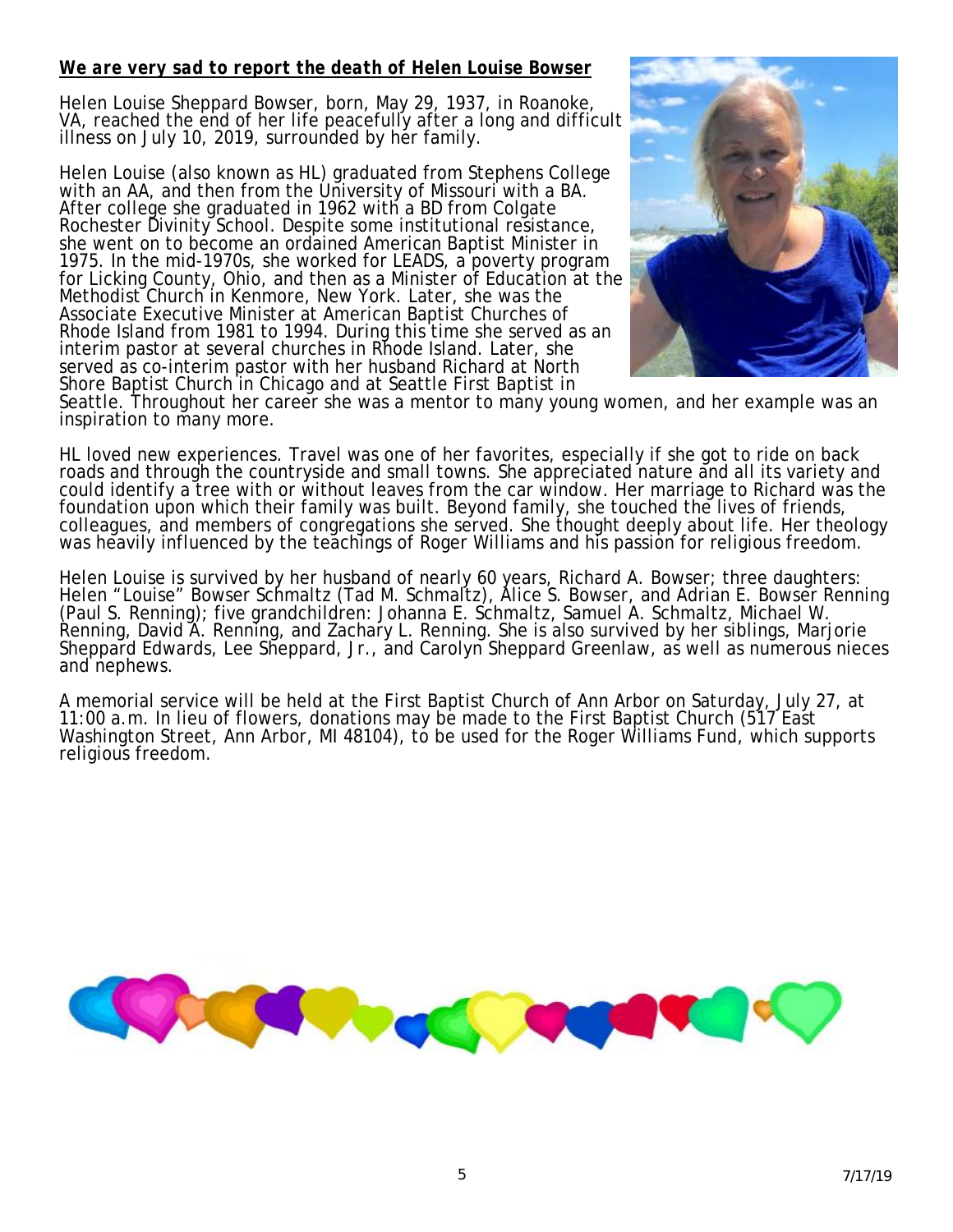#### *We are very sad to report the death of Helen Louise Bowser*

Helen Louise Sheppard Bowser, born, May 29, 1937, in Roanoke, VA, reached the end of her life peacefully after a long and difficult illness on July 10, 2019, surrounded by her family.

Helen Louise (also known as HL) graduated from Stephens College with an AA, and then from the University of Missouri with a BA. After college she graduated in 1962 with a BD from Colgate Rochester Divinity School. Despite some institutional resistance, she went on to become an ordained American Baptist Minister in 1975. In the mid-1970s, she worked for LEADS, a poverty program for Licking County, Ohio, and then as a Minister of Education at the Methodist Church in Kenmore, New York. Later, she was the Associate Executive Minister at American Baptist Churches of Rhode Island from 1981 to 1994. During this time she served as an interim pastor at several churches in Rhode Island. Later, she served as co-interim pastor with her husband Richard at North Shore Baptist Church in Chicago and at Seattle First Baptist in



Seattle. Throughout her career she was a mentor to many young women, and her example was an inspiration to many more.

HL loved new experiences. Travel was one of her favorites, especially if she got to ride on back roads and through the countryside and small towns. She appreciated nature and all its variety and could identify a tree with or without leaves from the car window. Her marriage to Richard was the foundation upon which their family was built. Beyond family, she touched the lives of friends, colleagues, and members of congregations she served. She thought deeply about life. Her theology was heavily influenced by the teachings of Roger Williams and his passion for religious freedom.

Helen Louise is survived by her husband of nearly 60 years, Richard A. Bowser; three daughters: Helen "Louise" Bowser Schmaltz (Tad M. Schmaltz), Alice S. Bowser, and Adrian E. Bowser Renning (Paul S. Renning); five grandchildren: Johanna E. Schmaltz, Samuel A. Schmaltz, Michael W. Renning, David A. Renning, and Zachary L. Renning. She is also survived by her siblings, Marjorie Sheppard Edwards, Lee Sheppard, Jr., and Carolyn Sheppard Greenlaw, as well as numerous nieces and nephews.

A memorial service will be held at the First Baptist Church of Ann Arbor on Saturday, July 27, at 11:00 a.m. In lieu of flowers, donations may be made to the First Baptist Church (517 East Washington Street, Ann Arbor, MI 48104), to be used for the Roger Williams Fund, which supports religious freedom.

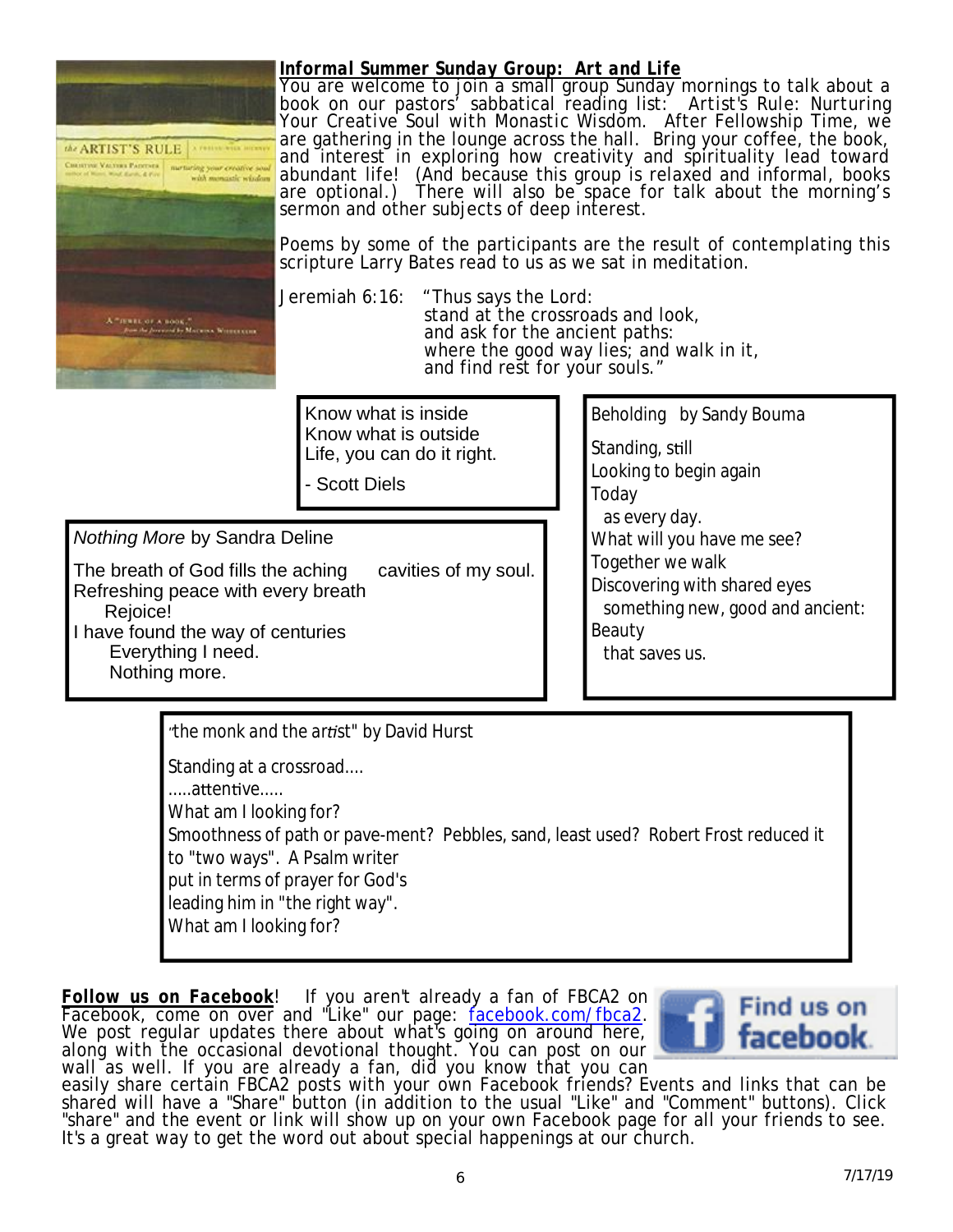

#### *Informal Summer Sunday Group: Art and Life*

You are welcome to join a small group Sunday mornings to talk about a book on our pastors' sabbatical reading list: *Artist's Rule: Nurturing Your Creative Soul with Monastic Wisdom.* After Fellowship Time, we are gathering in the lounge across the hall. Bring your coffee, the book, and interest in exploring how creativity and spirituality lead toward abundant life! (And because this group is relaxed and informal, books are optional.) There will also be space for talk about the morning's There will also be space for talk about the morning's sermon and other subjects of deep interest.

Poems by some of the participants are the result of contemplating this scripture Larry Bates read to us as we sat in meditation.

Jeremiah 6:16: "Thus says the Lord:

stand at the crossroads and look, and ask for the ancient paths: where the good way lies; and walk in it, and find rest for your souls."

Know what is inside Know what is outside Life, you can do it right.

- Scott Diels

*Nothing More* by Sandra Deline

The breath of God fills the aching cavities of my soul. Refreshing peace with every breath Rejoice! I have found the way of centuries Everything I need. Nothing more.

*Beholding* by Sandy Bouma Standing, still Looking to begin again Today as every day. What will you have me see? Together we walk Discovering with shared eyes something new, good and ancient: Beauty that saves us.

*"the monk and the ar st"* by David Hurst Standing at a crossroad.... .....attentive..... What am I looking for? Smoothness of path or pave-ment? Pebbles, sand, least used? Robert Frost reduced it to "two ways". A Psalm writer put in terms of prayer for God's leading him in "the right way". What am I looking for?

*Follow us on Facebook*! If you aren't already a fan of FBCA2 on Facebook, come on over and "Like" our page: facebook.com/fbca2. We post regular updates there about what's going on around here, along with the occasional devotional thought. You can post on our wall as well. If you are already a fan, did you know that you can



easily share certain FBCA2 posts with your own Facebook friends? Events and links that can be shared will have a "Share" button (in addition to the usual "Like" and "Comment" buttons). Click "share" and the event or link will show up on your own Facebook page for all your friends to see. It's a great way to get the word out about special happenings at our church.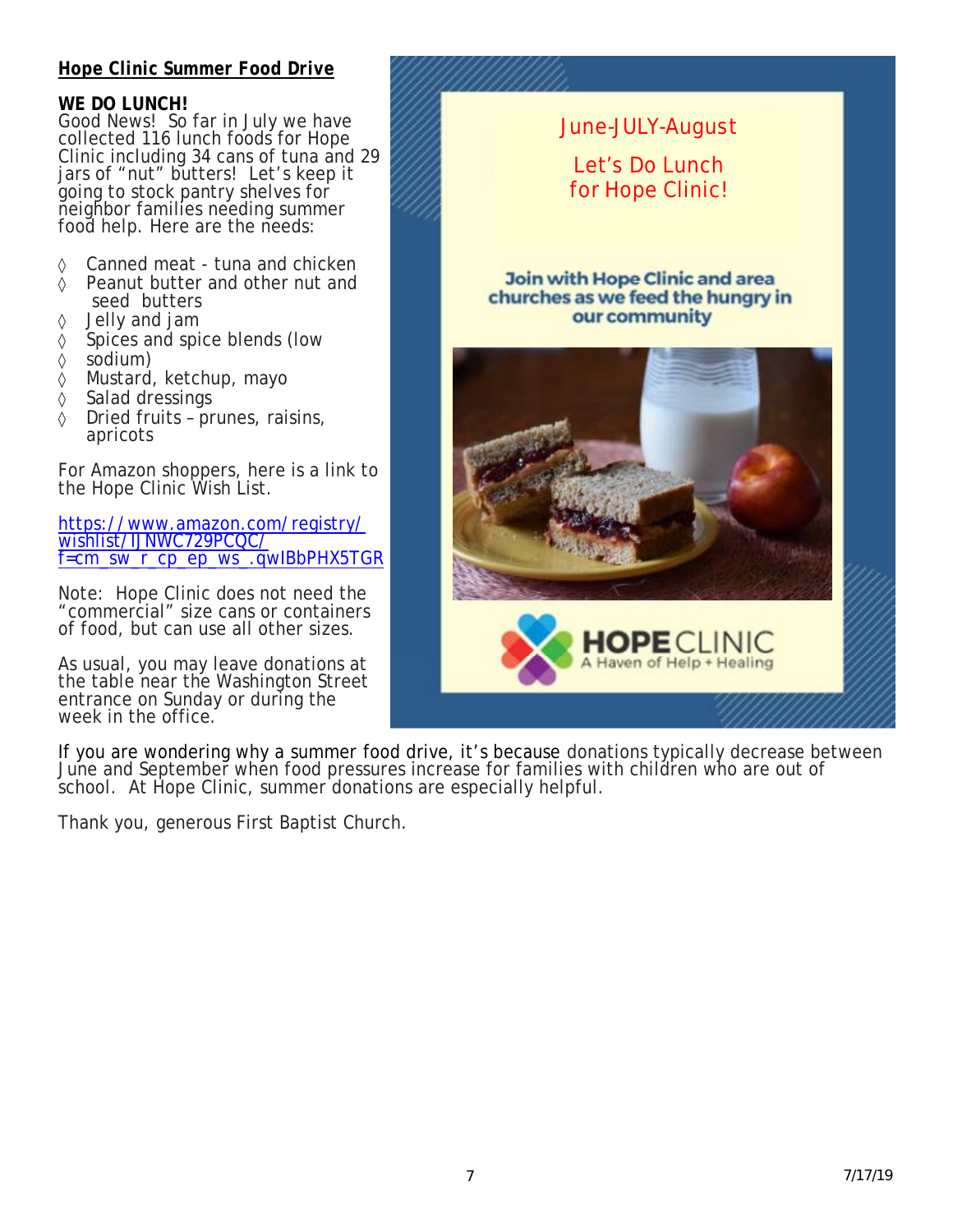#### *Hope Clinic Summer Food Drive*

#### **WE DO LUNCH!**

Good News! So far in July we have collected 116 lunch foods for Hope Clinic including 34 cans of tuna and 29 jars of "nut" butters! Let's keep it going to stock pantry shelves for neighbor families needing summer food help. Here are the needs:

- ◊ Canned meat tuna and chicken
- ◊ Peanut butter and other nut and
- seed butters ◊ Jelly and jam
- ◊ Spices and spice blends (low
- ◊ sodium)
- ◊ Mustard, ketchup, mayo
- ◊ Salad dressings
- ◊ Dried fruits prunes, raisins, apricots

For Amazon shoppers, here is a link to the Hope Clinic Wish List.

<https://www.amazon.com/registry/> wishlist/IJNWC729PCQC/ f=cm\_sw\_r\_cp\_ep\_ws\_.qwIBbPHX5TGR

Note: Hope Clinic does not need the "commercial" size cans or containers of food, but can use all other sizes.

As usual, you may leave donations at the table near the Washington Street entrance on Sunday or during the week in the office.

Let's Do Lunch for Hope Clinic! **Join with Hope Clinic and area** churches as we feed the hungry in our community laven of Help + Healing

June-JULY-August

If you are wondering why a *summer* food drive, it's because donations typically decrease between June and September when food pressures increase for families with children who are out of school. At Hope Clinic, summer donations are especially helpful.

Thank you, generous First Baptist Church.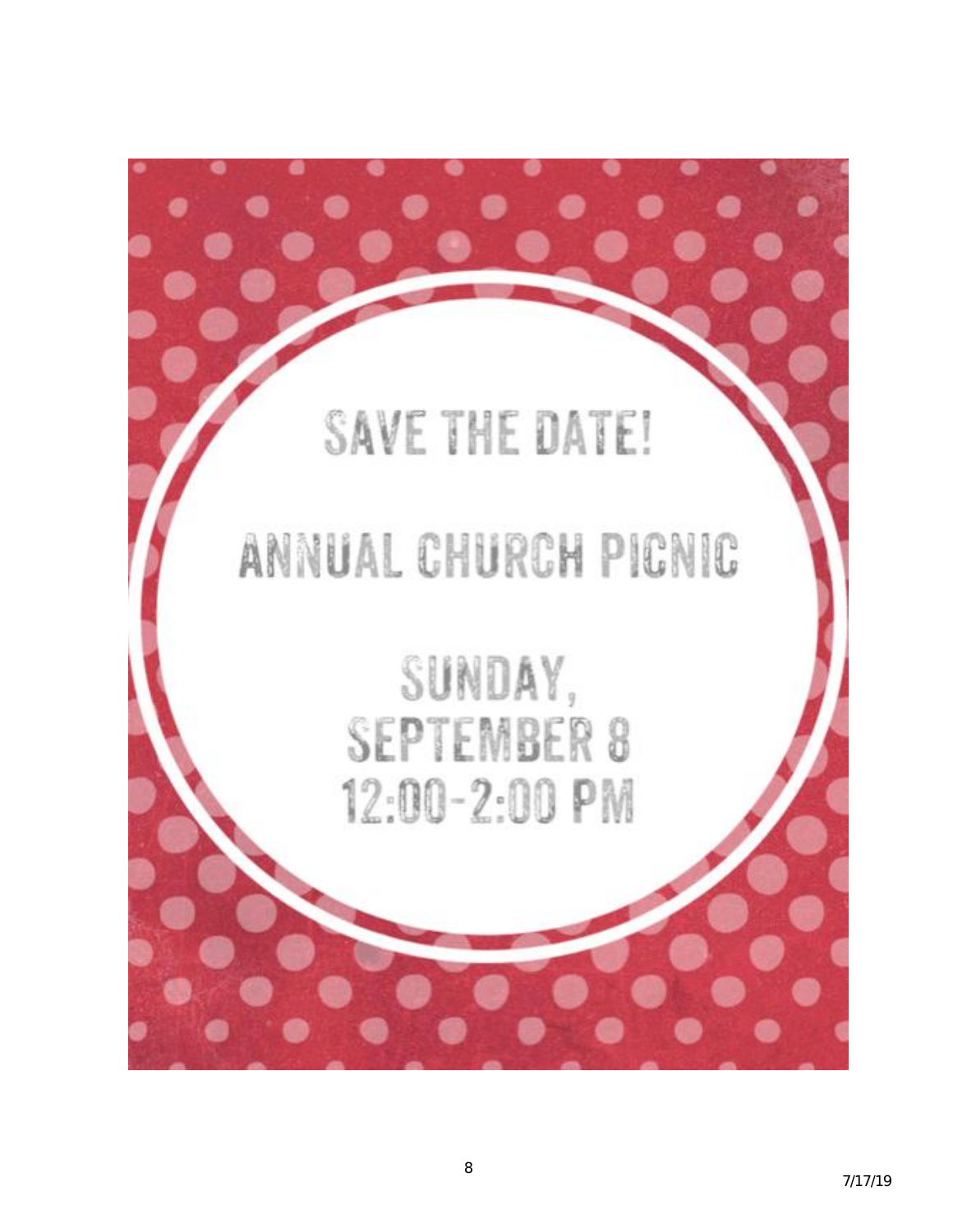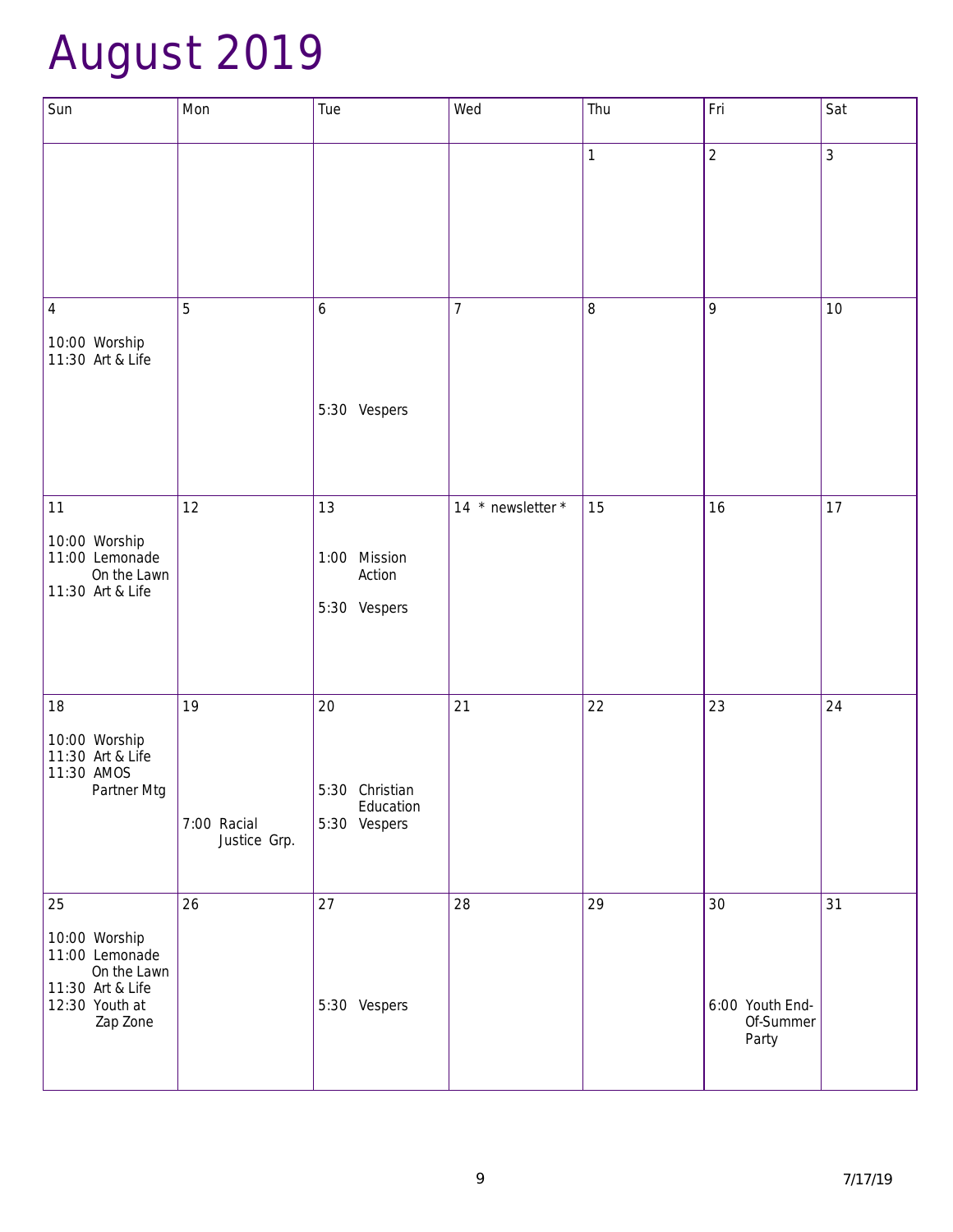# August 2019

| Sun                                                                                              | Mon                         | Tue                         | Wed               | Thu     | Fri                          | Sat |
|--------------------------------------------------------------------------------------------------|-----------------------------|-----------------------------|-------------------|---------|------------------------------|-----|
|                                                                                                  |                             |                             |                   | 1       | $\overline{2}$               | 3   |
| $\overline{4}$                                                                                   | 5                           | $\boldsymbol{6}$            | $\overline{7}$    | $\,8\,$ | 9                            | 10  |
| 10:00 Worship<br>11:30 Art & Life                                                                |                             |                             |                   |         |                              |     |
|                                                                                                  |                             | 5:30 Vespers                |                   |         |                              |     |
|                                                                                                  |                             |                             |                   |         |                              |     |
| 11                                                                                               | 12                          | 13                          | 14 * newsletter * | 15      | 16                           | 17  |
| 10:00 Worship<br>11:00 Lemonade<br>On the Lawn<br>11:30 Art & Life                               |                             | 1:00 Mission<br>Action      |                   |         |                              |     |
|                                                                                                  |                             | 5:30 Vespers                |                   |         |                              |     |
| 18                                                                                               | 19                          | 20                          | 21                | 22      | 23                           | 24  |
| 10:00 Worship<br>11:30 Art & Life                                                                |                             |                             |                   |         |                              |     |
| 11:30 AMOS<br>Partner Mtg                                                                        |                             | 5:30 Christian<br>Education |                   |         |                              |     |
|                                                                                                  | 7:00 Racial<br>Justice Grp. | 5:30 Vespers                |                   |         |                              |     |
| 25                                                                                               | 26                          | 27                          | 28                | 29      | 30                           | 31  |
| 10:00 Worship<br>11:00 Lemonade<br>On the Lawn<br>11:30 Art & Life<br>12:30 Youth at<br>Zap Zone |                             | 5:30 Vespers                |                   |         | 6:00 Youth End-<br>Of-Summer |     |
|                                                                                                  |                             |                             |                   |         | Party                        |     |